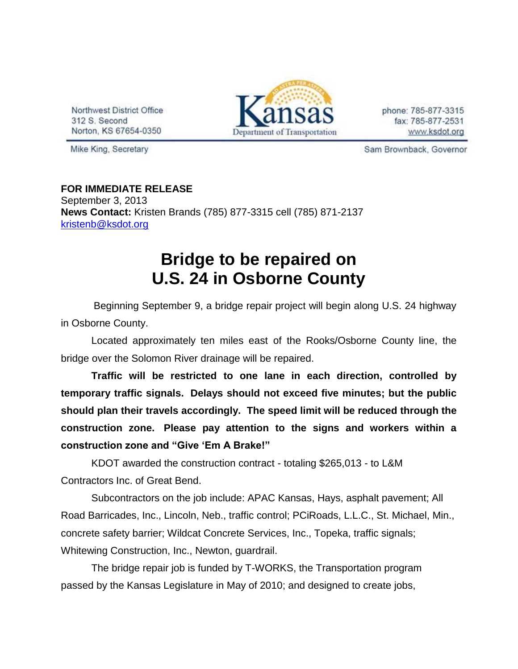Northwest District Office 312 S. Second Norton, KS 67654-0350



phone: 785-877-3315 fax: 785-877-2531 www.ksdot.org

Mike King, Secretary

Sam Brownback, Governor

**FOR IMMEDIATE RELEASE** September 3, 2013 **News Contact:** Kristen Brands (785) 877-3315 cell (785) 871-2137 [kristenb@ksdot.org](mailto:kristenb@ksdot.org)

## **Bridge to be repaired on U.S. 24 in Osborne County**

 Beginning September 9, a bridge repair project will begin along U.S. 24 highway in Osborne County.

Located approximately ten miles east of the Rooks/Osborne County line, the bridge over the Solomon River drainage will be repaired.

**Traffic will be restricted to one lane in each direction, controlled by temporary traffic signals. Delays should not exceed five minutes; but the public should plan their travels accordingly. The speed limit will be reduced through the construction zone. Please pay attention to the signs and workers within a construction zone and "Give 'Em A Brake!"**

KDOT awarded the construction contract - totaling \$265,013 - to L&M Contractors Inc. of Great Bend.

Subcontractors on the job include: APAC Kansas, Hays, asphalt pavement; All Road Barricades, Inc., Lincoln, Neb., traffic control; PCiRoads, L.L.C., St. Michael, Min., concrete safety barrier; Wildcat Concrete Services, Inc., Topeka, traffic signals; Whitewing Construction, Inc., Newton, guardrail.

The bridge repair job is funded by T-WORKS, the Transportation program passed by the Kansas Legislature in May of 2010; and designed to create jobs,